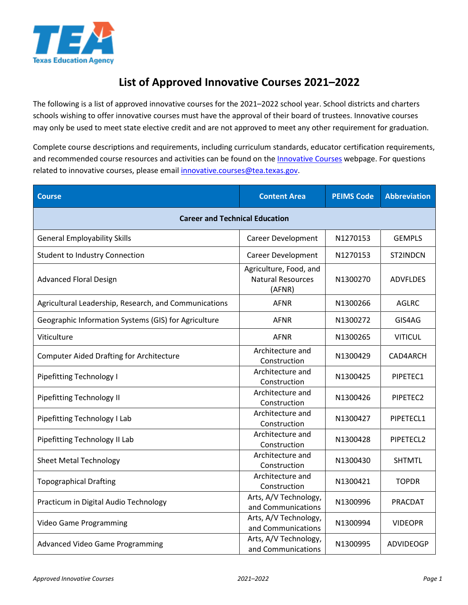

## **List of Approved Innovative Courses 2021–2022**

The following is a list of approved innovative courses for the 2021–2022 school year. School districts and charters schools wishing to offer innovative courses must have the approval of their board of trustees. Innovative courses may only be used to meet state elective credit and are not approved to meet any other requirement for graduation.

Complete course descriptions and requirements, including curriculum standards, educator certification requirements, and recommended course resources and activities can be found on the *Innovative Courses* webpage. For questions related to innovative courses, please emai[l innovative.courses@tea.texas.gov.](mailto:innovative.courses@tea.texas.gov)

| <b>Course</b>                                         | <b>Content Area</b>                                          | <b>PEIMS Code</b> | <b>Abbreviation</b> |
|-------------------------------------------------------|--------------------------------------------------------------|-------------------|---------------------|
| <b>Career and Technical Education</b>                 |                                                              |                   |                     |
| <b>General Employability Skills</b>                   | <b>Career Development</b>                                    | N1270153          | <b>GEMPLS</b>       |
| <b>Student to Industry Connection</b>                 | <b>Career Development</b>                                    | N1270153          | ST2INDCN            |
| <b>Advanced Floral Design</b>                         | Agriculture, Food, and<br><b>Natural Resources</b><br>(AFNR) | N1300270          | <b>ADVFLDES</b>     |
| Agricultural Leadership, Research, and Communications | <b>AFNR</b>                                                  | N1300266          | AGLRC               |
| Geographic Information Systems (GIS) for Agriculture  | <b>AFNR</b>                                                  | N1300272          | GIS4AG              |
| Viticulture                                           | <b>AFNR</b>                                                  | N1300265          | <b>VITICUL</b>      |
| <b>Computer Aided Drafting for Architecture</b>       | Architecture and<br>Construction                             | N1300429          | CAD4ARCH            |
| <b>Pipefitting Technology I</b>                       | Architecture and<br>Construction                             | N1300425          | PIPETEC1            |
| <b>Pipefitting Technology II</b>                      | Architecture and<br>Construction                             | N1300426          | PIPETEC2            |
| Pipefitting Technology I Lab                          | Architecture and<br>Construction                             | N1300427          | PIPETECL1           |
| Pipefitting Technology II Lab                         | Architecture and<br>Construction                             | N1300428          | PIPETECL2           |
| <b>Sheet Metal Technology</b>                         | Architecture and<br>Construction                             | N1300430          | <b>SHTMTL</b>       |
| <b>Topographical Drafting</b>                         | Architecture and<br>Construction                             | N1300421          | <b>TOPDR</b>        |
| Practicum in Digital Audio Technology                 | Arts, A/V Technology,<br>and Communications                  | N1300996          | PRACDAT             |
| Video Game Programming                                | Arts, A/V Technology,<br>and Communications                  | N1300994          | <b>VIDEOPR</b>      |
| Advanced Video Game Programming                       | Arts, A/V Technology,<br>and Communications                  | N1300995          | <b>ADVIDEOGP</b>    |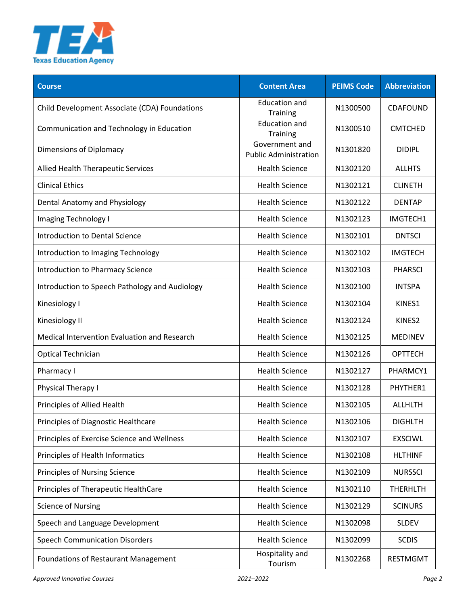

| <b>Course</b>                                  | <b>Content Area</b>                            | <b>PEIMS Code</b> | <b>Abbreviation</b> |
|------------------------------------------------|------------------------------------------------|-------------------|---------------------|
| Child Development Associate (CDA) Foundations  | <b>Education and</b><br>Training               | N1300500          | <b>CDAFOUND</b>     |
| Communication and Technology in Education      | <b>Education and</b><br><b>Training</b>        | N1300510          | <b>CMTCHED</b>      |
| Dimensions of Diplomacy                        | Government and<br><b>Public Administration</b> | N1301820          | <b>DIDIPL</b>       |
| Allied Health Therapeutic Services             | <b>Health Science</b>                          | N1302120          | <b>ALLHTS</b>       |
| <b>Clinical Ethics</b>                         | <b>Health Science</b>                          | N1302121          | <b>CLINETH</b>      |
| Dental Anatomy and Physiology                  | <b>Health Science</b>                          | N1302122          | <b>DENTAP</b>       |
| <b>Imaging Technology I</b>                    | <b>Health Science</b>                          | N1302123          | IMGTECH1            |
| <b>Introduction to Dental Science</b>          | <b>Health Science</b>                          | N1302101          | <b>DNTSCI</b>       |
| Introduction to Imaging Technology             | <b>Health Science</b>                          | N1302102          | <b>IMGTECH</b>      |
| Introduction to Pharmacy Science               | <b>Health Science</b>                          | N1302103          | <b>PHARSCI</b>      |
| Introduction to Speech Pathology and Audiology | <b>Health Science</b>                          | N1302100          | <b>INTSPA</b>       |
| Kinesiology I                                  | <b>Health Science</b>                          | N1302104          | KINES1              |
| Kinesiology II                                 | <b>Health Science</b>                          | N1302124          | KINES2              |
| Medical Intervention Evaluation and Research   | <b>Health Science</b>                          | N1302125          | <b>MEDINEV</b>      |
| <b>Optical Technician</b>                      | <b>Health Science</b>                          | N1302126          | <b>OPTTECH</b>      |
| Pharmacy I                                     | <b>Health Science</b>                          | N1302127          | PHARMCY1            |
| <b>Physical Therapy I</b>                      | <b>Health Science</b>                          | N1302128          | PHYTHER1            |
| Principles of Allied Health                    | <b>Health Science</b>                          | N1302105          | <b>ALLHLTH</b>      |
| Principles of Diagnostic Healthcare            | <b>Health Science</b>                          | N1302106          | <b>DIGHLTH</b>      |
| Principles of Exercise Science and Wellness    | <b>Health Science</b>                          | N1302107          | <b>EXSCIWL</b>      |
| Principles of Health Informatics               | <b>Health Science</b>                          | N1302108          | <b>HLTHINF</b>      |
| Principles of Nursing Science                  | <b>Health Science</b>                          | N1302109          | <b>NURSSCI</b>      |
| Principles of Therapeutic HealthCare           | <b>Health Science</b>                          | N1302110          | <b>THERHLTH</b>     |
| <b>Science of Nursing</b>                      | <b>Health Science</b>                          | N1302129          | <b>SCINURS</b>      |
| Speech and Language Development                | <b>Health Science</b>                          | N1302098          | <b>SLDEV</b>        |
| <b>Speech Communication Disorders</b>          | <b>Health Science</b>                          | N1302099          | <b>SCDIS</b>        |
| Foundations of Restaurant Management           | Hospitality and<br>Tourism                     | N1302268          | <b>RESTMGMT</b>     |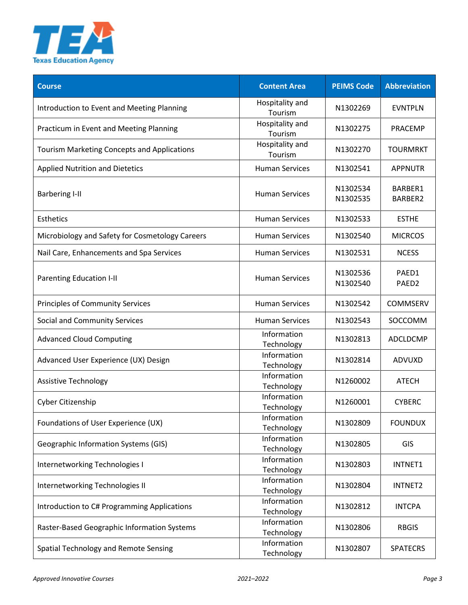

| <b>Course</b>                                      | <b>Content Area</b>        | <b>PEIMS Code</b>    | <b>Abbreviation</b>        |
|----------------------------------------------------|----------------------------|----------------------|----------------------------|
| Introduction to Event and Meeting Planning         | Hospitality and<br>Tourism | N1302269             | <b>EVNTPLN</b>             |
| Practicum in Event and Meeting Planning            | Hospitality and<br>Tourism | N1302275             | <b>PRACEMP</b>             |
| <b>Tourism Marketing Concepts and Applications</b> | Hospitality and<br>Tourism | N1302270             | <b>TOURMRKT</b>            |
| <b>Applied Nutrition and Dietetics</b>             | <b>Human Services</b>      | N1302541             | <b>APPNUTR</b>             |
| <b>Barbering I-II</b>                              | <b>Human Services</b>      | N1302534<br>N1302535 | BARBER1<br>BARBER2         |
| Esthetics                                          | <b>Human Services</b>      | N1302533             | <b>ESTHE</b>               |
| Microbiology and Safety for Cosmetology Careers    | <b>Human Services</b>      | N1302540             | <b>MICRCOS</b>             |
| Nail Care, Enhancements and Spa Services           | <b>Human Services</b>      | N1302531             | <b>NCESS</b>               |
| Parenting Education I-II                           | <b>Human Services</b>      | N1302536<br>N1302540 | PAED1<br>PAED <sub>2</sub> |
| <b>Principles of Community Services</b>            | <b>Human Services</b>      | N1302542             | COMMSERV                   |
| Social and Community Services                      | <b>Human Services</b>      | N1302543             | SOCCOMM                    |
| <b>Advanced Cloud Computing</b>                    | Information<br>Technology  | N1302813             | ADCLDCMP                   |
| Advanced User Experience (UX) Design               | Information<br>Technology  | N1302814             | ADVUXD                     |
| <b>Assistive Technology</b>                        | Information<br>Technology  | N1260002             | <b>ATECH</b>               |
| Cyber Citizenship                                  | Information<br>Technology  | N1260001             | <b>CYBERC</b>              |
| Foundations of User Experience (UX)                | Information<br>Technology  | N1302809             | <b>FOUNDUX</b>             |
| <b>Geographic Information Systems (GIS)</b>        | Information<br>Technology  | N1302805             | GIS                        |
| Internetworking Technologies I                     | Information<br>Technology  | N1302803             | INTNET1                    |
| Internetworking Technologies II                    | Information<br>Technology  | N1302804             | INTNET2                    |
| Introduction to C# Programming Applications        | Information<br>Technology  | N1302812             | <b>INTCPA</b>              |
| Raster-Based Geographic Information Systems        | Information<br>Technology  | N1302806             | <b>RBGIS</b>               |
| Spatial Technology and Remote Sensing              | Information<br>Technology  | N1302807             | <b>SPATECRS</b>            |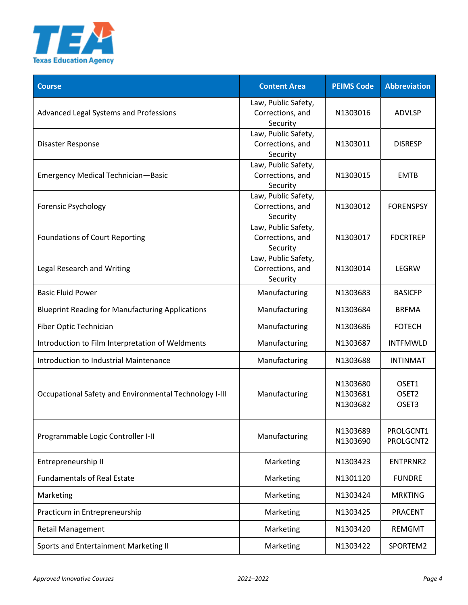

| <b>Course</b>                                           | <b>Content Area</b>                                 | <b>PEIMS Code</b>                | <b>Abbreviation</b>                 |
|---------------------------------------------------------|-----------------------------------------------------|----------------------------------|-------------------------------------|
| Advanced Legal Systems and Professions                  | Law, Public Safety,<br>Corrections, and<br>Security | N1303016                         | <b>ADVLSP</b>                       |
| Disaster Response                                       | Law, Public Safety,<br>Corrections, and<br>Security | N1303011                         | <b>DISRESP</b>                      |
| <b>Emergency Medical Technician-Basic</b>               | Law, Public Safety,<br>Corrections, and<br>Security | N1303015                         | <b>EMTB</b>                         |
| <b>Forensic Psychology</b>                              | Law, Public Safety,<br>Corrections, and<br>Security | N1303012                         | <b>FORENSPSY</b>                    |
| <b>Foundations of Court Reporting</b>                   | Law, Public Safety,<br>Corrections, and<br>Security | N1303017                         | <b>FDCRTREP</b>                     |
| Legal Research and Writing                              | Law, Public Safety,<br>Corrections, and<br>Security | N1303014                         | LEGRW                               |
| <b>Basic Fluid Power</b>                                | Manufacturing                                       | N1303683                         | <b>BASICFP</b>                      |
| <b>Blueprint Reading for Manufacturing Applications</b> | Manufacturing                                       | N1303684                         | <b>BRFMA</b>                        |
| Fiber Optic Technician                                  | Manufacturing                                       | N1303686                         | <b>FOTECH</b>                       |
| Introduction to Film Interpretation of Weldments        | Manufacturing                                       | N1303687                         | <b>INTFMWLD</b>                     |
| Introduction to Industrial Maintenance                  | Manufacturing                                       | N1303688                         | <b>INTINMAT</b>                     |
| Occupational Safety and Environmental Technology I-III  | Manufacturing                                       | N1303680<br>N1303681<br>N1303682 | OSET1<br>OSET <sub>2</sub><br>OSET3 |
| Programmable Logic Controller I-II                      | Manufacturing                                       | N1303689<br>N1303690             | PROLGCNT1<br>PROLGCNT2              |
| Entrepreneurship II                                     | Marketing                                           | N1303423                         | ENTPRNR2                            |
| <b>Fundamentals of Real Estate</b>                      | Marketing                                           | N1301120                         | <b>FUNDRE</b>                       |
| Marketing                                               | Marketing                                           | N1303424                         | <b>MRKTING</b>                      |
| Practicum in Entrepreneurship                           | Marketing                                           | N1303425                         | <b>PRACENT</b>                      |
| <b>Retail Management</b>                                | Marketing                                           | N1303420                         | <b>REMGMT</b>                       |
| Sports and Entertainment Marketing II                   | Marketing                                           | N1303422                         | SPORTEM2                            |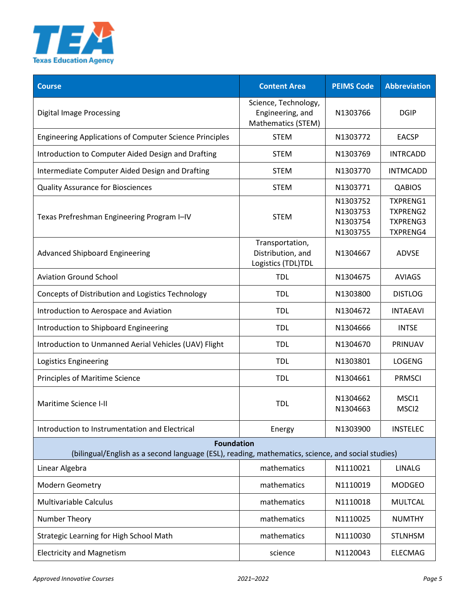

| <b>Course</b>                                                                                                          | <b>Content Area</b>                                            | <b>PEIMS Code</b>                            | <b>Abbreviation</b>                                                      |
|------------------------------------------------------------------------------------------------------------------------|----------------------------------------------------------------|----------------------------------------------|--------------------------------------------------------------------------|
| <b>Digital Image Processing</b>                                                                                        | Science, Technology,<br>Engineering, and<br>Mathematics (STEM) | N1303766                                     | <b>DGIP</b>                                                              |
| <b>Engineering Applications of Computer Science Principles</b>                                                         | <b>STEM</b>                                                    | N1303772                                     | <b>EACSP</b>                                                             |
| Introduction to Computer Aided Design and Drafting                                                                     | <b>STEM</b>                                                    | N1303769                                     | <b>INTRCADD</b>                                                          |
| Intermediate Computer Aided Design and Drafting                                                                        | <b>STEM</b>                                                    | N1303770                                     | <b>INTMCADD</b>                                                          |
| <b>Quality Assurance for Biosciences</b>                                                                               | <b>STEM</b>                                                    | N1303771                                     | <b>QABIOS</b>                                                            |
| Texas Prefreshman Engineering Program I-IV                                                                             | <b>STEM</b>                                                    | N1303752<br>N1303753<br>N1303754<br>N1303755 | <b>TXPRENG1</b><br><b>TXPRENG2</b><br><b>TXPRENG3</b><br><b>TXPRENG4</b> |
| <b>Advanced Shipboard Engineering</b>                                                                                  | Transportation,<br>Distribution, and<br>Logistics (TDL)TDL     | N1304667                                     | <b>ADVSE</b>                                                             |
| <b>Aviation Ground School</b>                                                                                          | <b>TDL</b>                                                     | N1304675                                     | <b>AVIAGS</b>                                                            |
| Concepts of Distribution and Logistics Technology                                                                      | <b>TDL</b>                                                     | N1303800                                     | <b>DISTLOG</b>                                                           |
| Introduction to Aerospace and Aviation                                                                                 | <b>TDL</b>                                                     | N1304672                                     | <b>INTAEAVI</b>                                                          |
| Introduction to Shipboard Engineering                                                                                  | <b>TDL</b>                                                     | N1304666                                     | <b>INTSE</b>                                                             |
| Introduction to Unmanned Aerial Vehicles (UAV) Flight                                                                  | <b>TDL</b>                                                     | N1304670                                     | PRINUAV                                                                  |
| Logistics Engineering                                                                                                  | <b>TDL</b>                                                     | N1303801                                     | <b>LOGENG</b>                                                            |
| Principles of Maritime Science                                                                                         | <b>TDL</b>                                                     | N1304661                                     | <b>PRMSCI</b>                                                            |
| Maritime Science I-II                                                                                                  | <b>TDL</b>                                                     | N1304662<br>N1304663                         | MSC <sub>1</sub><br>MSCI <sub>2</sub>                                    |
| Introduction to Instrumentation and Electrical                                                                         | Energy                                                         | N1303900                                     | <b>INSTELEC</b>                                                          |
| <b>Foundation</b><br>(bilingual/English as a second language (ESL), reading, mathematics, science, and social studies) |                                                                |                                              |                                                                          |
| Linear Algebra                                                                                                         | mathematics                                                    | N1110021                                     | <b>LINALG</b>                                                            |
| Modern Geometry                                                                                                        | mathematics                                                    | N1110019                                     | <b>MODGEO</b>                                                            |
| <b>Multivariable Calculus</b>                                                                                          | mathematics                                                    | N1110018                                     | <b>MULTCAL</b>                                                           |
| Number Theory                                                                                                          | mathematics                                                    | N1110025                                     | <b>NUMTHY</b>                                                            |
| Strategic Learning for High School Math                                                                                | mathematics                                                    | N1110030                                     | <b>STLNHSM</b>                                                           |
| <b>Electricity and Magnetism</b>                                                                                       | science                                                        | N1120043                                     | <b>ELECMAG</b>                                                           |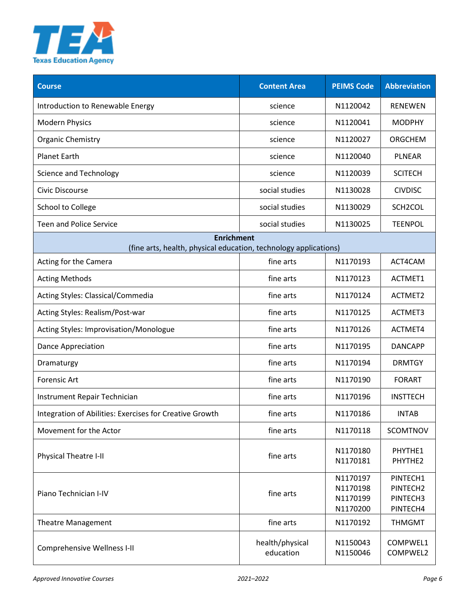

| <b>Course</b>                                                                         | <b>Content Area</b>          | <b>PEIMS Code</b>                            | <b>Abbreviation</b>                          |
|---------------------------------------------------------------------------------------|------------------------------|----------------------------------------------|----------------------------------------------|
| Introduction to Renewable Energy                                                      | science                      | N1120042                                     | <b>RENEWEN</b>                               |
| <b>Modern Physics</b>                                                                 | science                      | N1120041                                     | <b>MODPHY</b>                                |
| <b>Organic Chemistry</b>                                                              | science                      | N1120027                                     | ORGCHEM                                      |
| <b>Planet Earth</b>                                                                   | science                      | N1120040                                     | <b>PLNEAR</b>                                |
| <b>Science and Technology</b>                                                         | science                      | N1120039                                     | <b>SCITECH</b>                               |
| Civic Discourse                                                                       | social studies               | N1130028                                     | <b>CIVDISC</b>                               |
| School to College                                                                     | social studies               | N1130029                                     | SCH2COL                                      |
| <b>Teen and Police Service</b>                                                        | social studies               | N1130025                                     | <b>TEENPOL</b>                               |
| <b>Enrichment</b><br>(fine arts, health, physical education, technology applications) |                              |                                              |                                              |
| Acting for the Camera                                                                 | fine arts                    | N1170193                                     | ACT4CAM                                      |
| <b>Acting Methods</b>                                                                 | fine arts                    | N1170123                                     | ACTMET1                                      |
| Acting Styles: Classical/Commedia                                                     | fine arts                    | N1170124                                     | ACTMET2                                      |
| Acting Styles: Realism/Post-war                                                       | fine arts                    | N1170125                                     | ACTMET3                                      |
| Acting Styles: Improvisation/Monologue                                                | fine arts                    | N1170126                                     | ACTMET4                                      |
| <b>Dance Appreciation</b>                                                             | fine arts                    | N1170195                                     | <b>DANCAPP</b>                               |
| Dramaturgy                                                                            | fine arts                    | N1170194                                     | <b>DRMTGY</b>                                |
| Forensic Art                                                                          | fine arts                    | N1170190                                     | <b>FORART</b>                                |
| Instrument Repair Technician                                                          | fine arts                    | N1170196                                     | <b>INSTTECH</b>                              |
| Integration of Abilities: Exercises for Creative Growth                               | fine arts                    | N1170186                                     | <b>INTAB</b>                                 |
| Movement for the Actor                                                                | fine arts                    | N1170118                                     | <b>SCOMTNOV</b>                              |
| Physical Theatre I-II                                                                 | fine arts                    | N1170180<br>N1170181                         | PHYTHE1<br>PHYTHE2                           |
| Piano Technician I-IV                                                                 | fine arts                    | N1170197<br>N1170198<br>N1170199<br>N1170200 | PINTECH1<br>PINTECH2<br>PINTECH3<br>PINTECH4 |
| <b>Theatre Management</b>                                                             | fine arts                    | N1170192                                     | <b>THMGMT</b>                                |
| <b>Comprehensive Wellness I-II</b>                                                    | health/physical<br>education | N1150043<br>N1150046                         | COMPWEL1<br>COMPWEL2                         |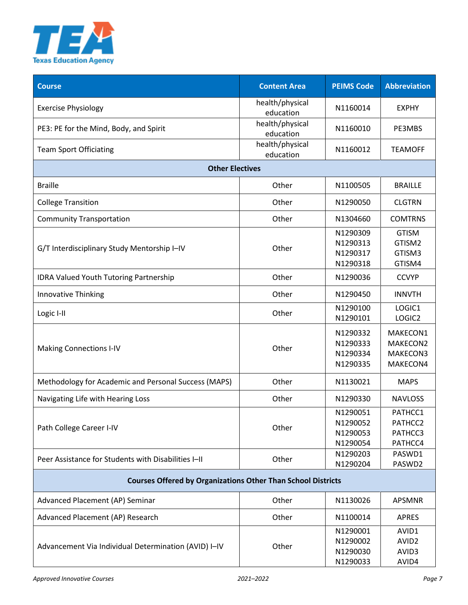

| <b>Course</b>                                                       | <b>Content Area</b>          | <b>PEIMS Code</b>                            | <b>Abbreviation</b>                          |
|---------------------------------------------------------------------|------------------------------|----------------------------------------------|----------------------------------------------|
| <b>Exercise Physiology</b>                                          | health/physical<br>education | N1160014                                     | <b>EXPHY</b>                                 |
| PE3: PE for the Mind, Body, and Spirit                              | health/physical<br>education | N1160010                                     | PE3MBS                                       |
| <b>Team Sport Officiating</b>                                       | health/physical<br>education | N1160012                                     | <b>TEAMOFF</b>                               |
| <b>Other Electives</b>                                              |                              |                                              |                                              |
| <b>Braille</b>                                                      | Other                        | N1100505                                     | <b>BRAILLE</b>                               |
| <b>College Transition</b>                                           | Other                        | N1290050                                     | <b>CLGTRN</b>                                |
| <b>Community Transportation</b>                                     | Other                        | N1304660                                     | <b>COMTRNS</b>                               |
| G/T Interdisciplinary Study Mentorship I-IV                         | Other                        | N1290309<br>N1290313<br>N1290317<br>N1290318 | <b>GTISM</b><br>GTISM2<br>GTISM3<br>GTISM4   |
| IDRA Valued Youth Tutoring Partnership                              | Other                        | N1290036                                     | <b>CCVYP</b>                                 |
| <b>Innovative Thinking</b>                                          | Other                        | N1290450                                     | <b>INNVTH</b>                                |
| Logic I-II                                                          | Other                        | N1290100<br>N1290101                         | LOGIC1<br>LOGIC2                             |
| <b>Making Connections I-IV</b>                                      | Other                        | N1290332<br>N1290333<br>N1290334<br>N1290335 | MAKECON1<br>MAKECON2<br>MAKECON3<br>MAKECON4 |
| Methodology for Academic and Personal Success (MAPS)                | Other                        | N1130021                                     | <b>MAPS</b>                                  |
| Navigating Life with Hearing Loss                                   | Other                        | N1290330                                     | <b>NAVLOSS</b>                               |
| Path College Career I-IV                                            | Other                        | N1290051<br>N1290052<br>N1290053<br>N1290054 | PATHCC1<br>PATHCC2<br>PATHCC3<br>PATHCC4     |
| Peer Assistance for Students with Disabilities I-II                 | Other                        | N1290203<br>N1290204                         | PASWD1<br>PASWD2                             |
| <b>Courses Offered by Organizations Other Than School Districts</b> |                              |                                              |                                              |
| Advanced Placement (AP) Seminar                                     | Other                        | N1130026                                     | <b>APSMNR</b>                                |
| Advanced Placement (AP) Research                                    | Other                        | N1100014                                     | <b>APRES</b>                                 |
| Advancement Via Individual Determination (AVID) I-IV                | Other                        | N1290001<br>N1290002<br>N1290030<br>N1290033 | AVID1<br>AVID <sub>2</sub><br>AVID3<br>AVID4 |